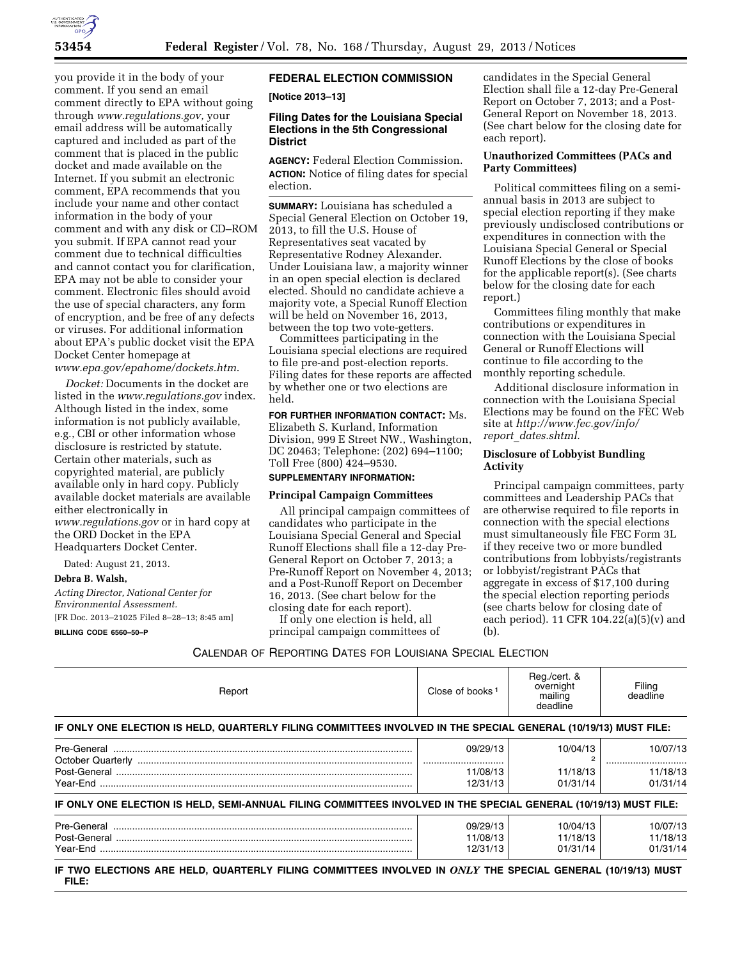

you provide it in the body of your comment. If you send an email comment directly to EPA without going through *[www.regulations.gov,](http://www.regulations.gov)* your email address will be automatically captured and included as part of the comment that is placed in the public docket and made available on the Internet. If you submit an electronic comment, EPA recommends that you include your name and other contact information in the body of your comment and with any disk or CD–ROM you submit. If EPA cannot read your comment due to technical difficulties and cannot contact you for clarification, EPA may not be able to consider your comment. Electronic files should avoid the use of special characters, any form of encryption, and be free of any defects or viruses. For additional information about EPA's public docket visit the EPA Docket Center homepage at *[www.epa.gov/epahome/dockets.htm](http://www.epa.gov/epahome/dockets.htm)*.

*Docket:* Documents in the docket are listed in the *[www.regulations.gov](http://www.regulations.gov)* index. Although listed in the index, some information is not publicly available, e.g., CBI or other information whose disclosure is restricted by statute. Certain other materials, such as copyrighted material, are publicly available only in hard copy. Publicly available docket materials are available either electronically in *[www.regulations.gov](http://www.regulations.gov)* or in hard copy at the ORD Docket in the EPA Headquarters Docket Center.

Dated: August 21, 2013.

### **Debra B. Walsh,**

*Acting Director, National Center for Environmental Assessment.*  [FR Doc. 2013–21025 Filed 8–28–13; 8:45 am]

**BILLING CODE 6560–50–P** 

# **FEDERAL ELECTION COMMISSION**

**[Notice 2013–13]** 

## **Filing Dates for the Louisiana Special Elections in the 5th Congressional District**

**AGENCY:** Federal Election Commission. **ACTION:** Notice of filing dates for special election.

**SUMMARY:** Louisiana has scheduled a Special General Election on October 19, 2013, to fill the U.S. House of Representatives seat vacated by Representative Rodney Alexander. Under Louisiana law, a majority winner in an open special election is declared elected. Should no candidate achieve a majority vote, a Special Runoff Election will be held on November 16, 2013, between the top two vote-getters.

Committees participating in the Louisiana special elections are required to file pre-and post-election reports. Filing dates for these reports are affected by whether one or two elections are held.

**FOR FURTHER INFORMATION CONTACT:** Ms. Elizabeth S. Kurland, Information Division, 999 E Street NW., Washington, DC 20463; Telephone: (202) 694–1100; Toll Free (800) 424–9530.

#### **SUPPLEMENTARY INFORMATION:**

#### **Principal Campaign Committees**

All principal campaign committees of candidates who participate in the Louisiana Special General and Special Runoff Elections shall file a 12-day Pre-General Report on October 7, 2013; a Pre-Runoff Report on November 4, 2013; and a Post-Runoff Report on December 16, 2013. (See chart below for the closing date for each report).

If only one election is held, all principal campaign committees of

candidates in the Special General Election shall file a 12-day Pre-General Report on October 7, 2013; and a Post-General Report on November 18, 2013. (See chart below for the closing date for each report).

## **Unauthorized Committees (PACs and Party Committees)**

Political committees filing on a semiannual basis in 2013 are subject to special election reporting if they make previously undisclosed contributions or expenditures in connection with the Louisiana Special General or Special Runoff Elections by the close of books for the applicable report(s). (See charts below for the closing date for each report.)

Committees filing monthly that make contributions or expenditures in connection with the Louisiana Special General or Runoff Elections will continue to file according to the monthly reporting schedule.

Additional disclosure information in connection with the Louisiana Special Elections may be found on the FEC Web site at *[http://www.fec.gov/info/](http://www.fec.gov/info/report_dates.shtml) report*\_*[dates.shtml.](http://www.fec.gov/info/report_dates.shtml)* 

## **Disclosure of Lobbyist Bundling Activity**

Principal campaign committees, party committees and Leadership PACs that are otherwise required to file reports in connection with the special elections must simultaneously file FEC Form 3L if they receive two or more bundled contributions from lobbyists/registrants or lobbyist/registrant PACs that aggregate in excess of \$17,100 during the special election reporting periods (see charts below for closing date of each period). 11 CFR 104.22(a)(5)(v) and  $(h)$ .

## CALENDAR OF REPORTING DATES FOR LOUISIANA SPECIAL ELECTION

| Close of books <sup>1</sup>      | Reg./cert. &<br>overnight<br>mailing<br>deadline | Filing<br>deadline                                                                                                                                                                                                                   |
|----------------------------------|--------------------------------------------------|--------------------------------------------------------------------------------------------------------------------------------------------------------------------------------------------------------------------------------------|
|                                  |                                                  |                                                                                                                                                                                                                                      |
| 09/29/13                         | 10/04/13                                         | 10/07/13                                                                                                                                                                                                                             |
| 11/08/13<br>12/31/13             | 11/18/13<br>01/31/14                             | 11/18/13<br>01/31/14                                                                                                                                                                                                                 |
|                                  |                                                  |                                                                                                                                                                                                                                      |
| 09/29/13<br>11/08/13<br>12/31/13 | 10/04/13<br>11/18/13<br>01/31/14                 | 10/07/13<br>11/18/13<br>01/31/14                                                                                                                                                                                                     |
|                                  |                                                  | IF ONLY ONE ELECTION IS HELD, QUARTERLY FILING COMMITTEES INVOLVED IN THE SPECIAL GENERAL (10/19/13) MUST FILE:<br>IF ONLY ONE ELECTION IS HELD, SEMI-ANNUAL FILING COMMITTEES INVOLVED IN THE SPECIAL GENERAL (10/19/13) MUST FILE: |